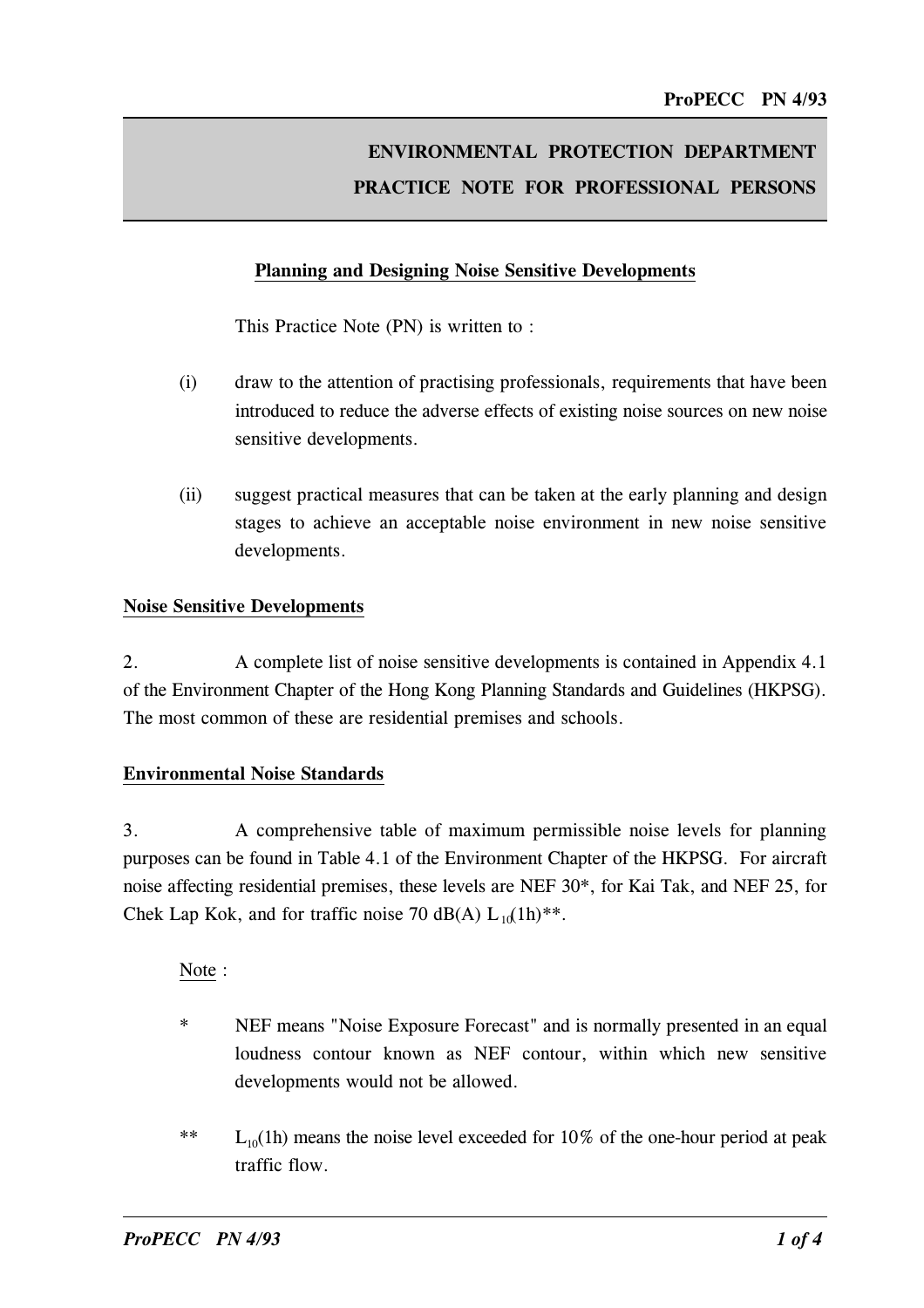# ENVIRONMENTAL PROTECTION DEPARTMENT PRACTICE NOTE FOR PROFESSIONAL PERSONS

### Planning and Designing Noise Sensitive Developments

This Practice Note (PN) is written to :

- (i) draw to the attention of practising professionals, requirements that have been introduced to reduce the adverse effects of existing noise sources on new noise sensitive developments.
- (ii) suggest practical measures that can be taken at the early planning and design stages to achieve an acceptable noise environment in new noise sensitive developments.

#### Noise Sensitive Developments

2. A complete list of noise sensitive developments is contained in Appendix 4.1 of the Environment Chapter of the Hong Kong Planning Standards and Guidelines (HKPSG). The most common of these are residential premises and schools.

#### Environmental Noise Standards

3. A comprehensive table of maximum permissible noise levels for planning purposes can be found in Table 4.1 of the Environment Chapter of the HKPSG. For aircraft noise affecting residential premises, these levels are NEF 30\*, for Kai Tak, and NEF 25, for Chek Lap Kok, and for traffic noise 70 dB(A)  $L_{10}(1h)$ <sup>\*\*</sup>.

Note :

- \* NEF means "Noise Exposure Forecast" and is normally presented in an equal loudness contour known as NEF contour, within which new sensitive developments would not be allowed.
- \*\*  $L_{10}(1h)$  means the noise level exceeded for 10% of the one-hour period at peak traffic flow.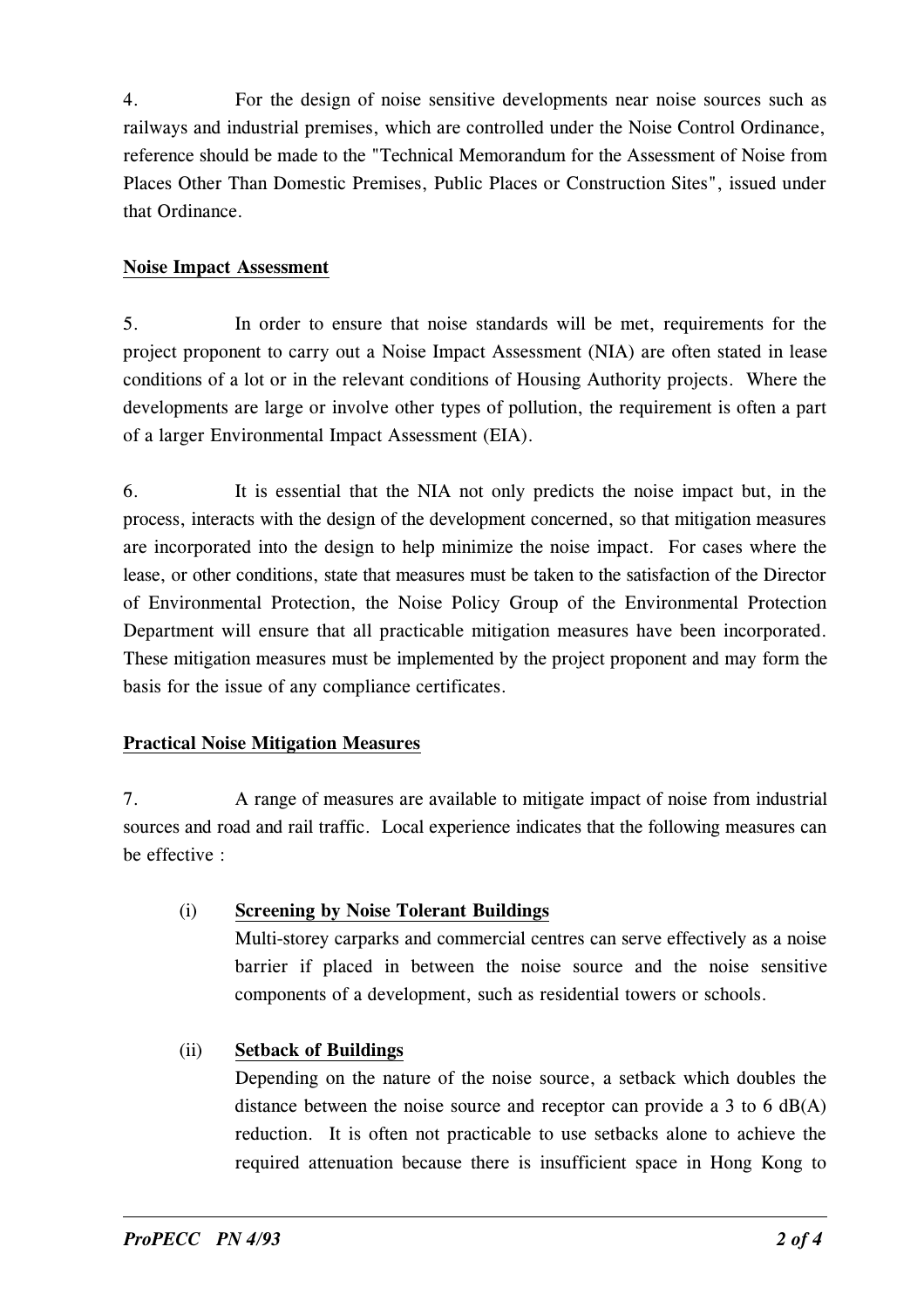4. For the design of noise sensitive developments near noise sources such as railways and industrial premises, which are controlled under the Noise Control Ordinance, reference should be made to the "Technical Memorandum for the Assessment of Noise from Places Other Than Domestic Premises, Public Places or Construction Sites", issued under that Ordinance.

## Noise Impact Assessment

5. In order to ensure that noise standards will be met, requirements for the project proponent to carry out a Noise Impact Assessment (NIA) are often stated in lease conditions of a lot or in the relevant conditions of Housing Authority projects. Where the developments are large or involve other types of pollution, the requirement is often a part of a larger Environmental Impact Assessment (EIA).

6. It is essential that the NIA not only predicts the noise impact but, in the process, interacts with the design of the development concerned, so that mitigation measures are incorporated into the design to help minimize the noise impact. For cases where the lease, or other conditions, state that measures must be taken to the satisfaction of the Director of Environmental Protection, the Noise Policy Group of the Environmental Protection Department will ensure that all practicable mitigation measures have been incorporated. These mitigation measures must be implemented by the project proponent and may form the basis for the issue of any compliance certificates.

### Practical Noise Miti�ation Measures

7. A range of measures are available to mitigate impact of noise from industrial sources and road and rail traffic. Local experience indicates that the following measures can be effective :

- (i) Screening by Noise Tolerant Buildings Multi-storey carparks and commercial centres can serve effectively as a noise barrier if placed in between the noise source and the noise sensitive components of a development, such as residential towers or schools.
- (ii) Setback of Buildin�s

Depending on the nature of the noise source, a setback which doubles the distance between the noise source and receptor can provide a 3 to 6  $dB(A)$ reduction. It is often not practicable to use setbacks alone to achieve the required attenuation because there is insufficient space in Hong Kong to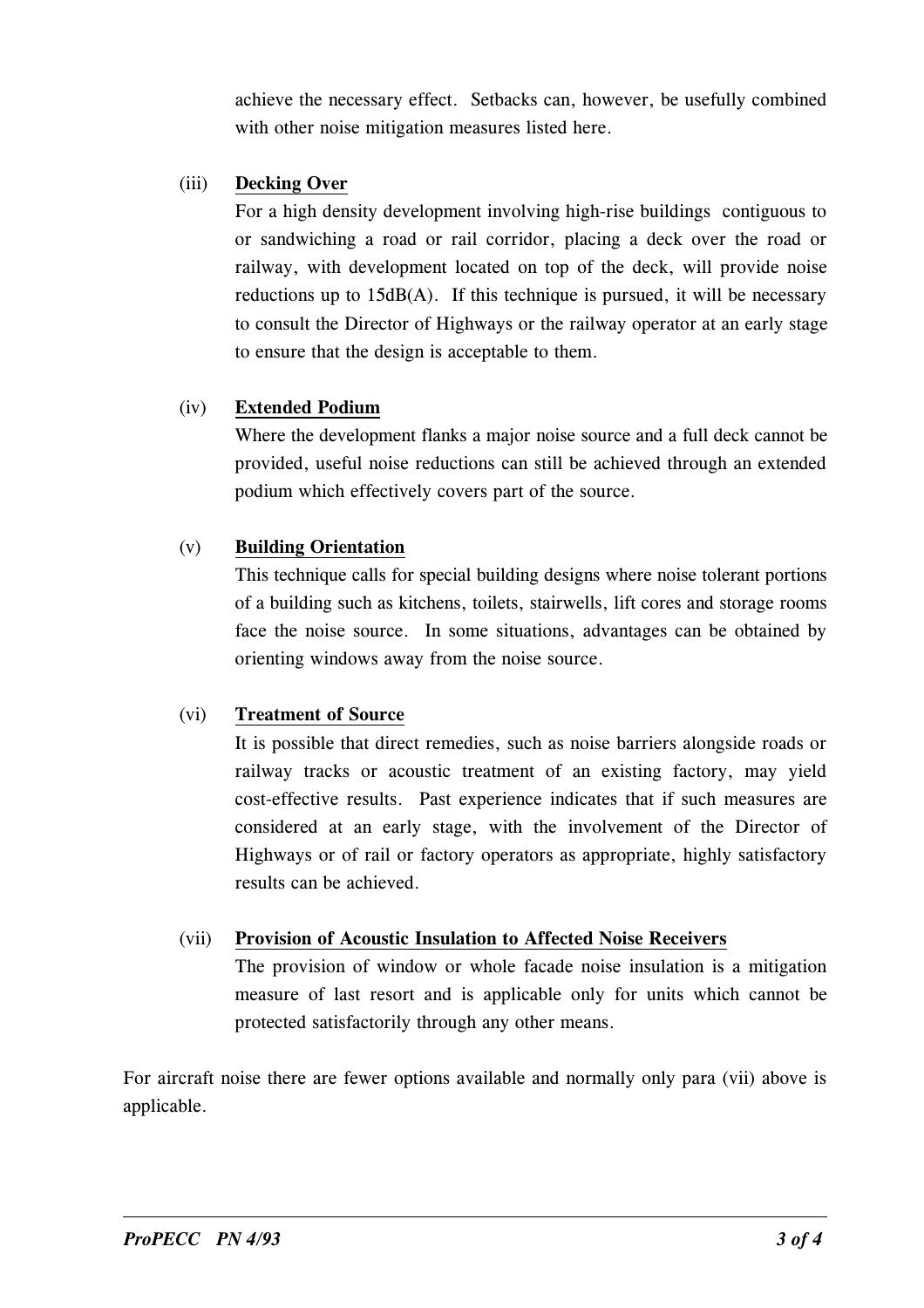achieve the necessary effect. Setbacks can, however, be usefully combined with other noise mitigation measures listed here.

## (iii) Decking Over

For a high density development involving high-rise buildings contiguous to or sandwiching a road or rail corridor, placing a deck over the road or railway, with development located on top of the deck, will provide noise reductions up to 15dB(A). If this technique is pursued, it will be necessary to consult the Director of Highways or the railway operator at an early stage to ensure that the design is acceptable to them.

# (iv) Extended Podium

Where the development flanks a major noise source and a full deck cannot be provided, useful noise reductions can still be achieved through an extended podium which effectively covers part of the source.

# (v) Building Orientation

This technique calls for special building designs where noise tolerant portions of a building such as kitchens, toilets, stairwells, lift cores and storage rooms face the noise source. In some situations, advantages can be obtained by orienting windows away from the noise source.

# (vi) Treatment of Source

It is possible that direct remedies, such as noise barriers alongside roads or railway tracks or acoustic treatment of an existing factory, may yield cost-effective results. Past experience indicates that if such measures are considered at an early stage, with the involvement of the Director of Highways or of rail or factory operators as appropriate, highly satisfactory results can be achieved.

# (vii) Provision of Acoustic Insulation to Affected Noise Receivers

The provision of window or whole facade noise insulation is a mitigation measure of last resort and is applicable only for units which cannot be protected satisfactorily through any other means.

For aircraft noise there are fewer options available and normally only para (vii) above is applicable.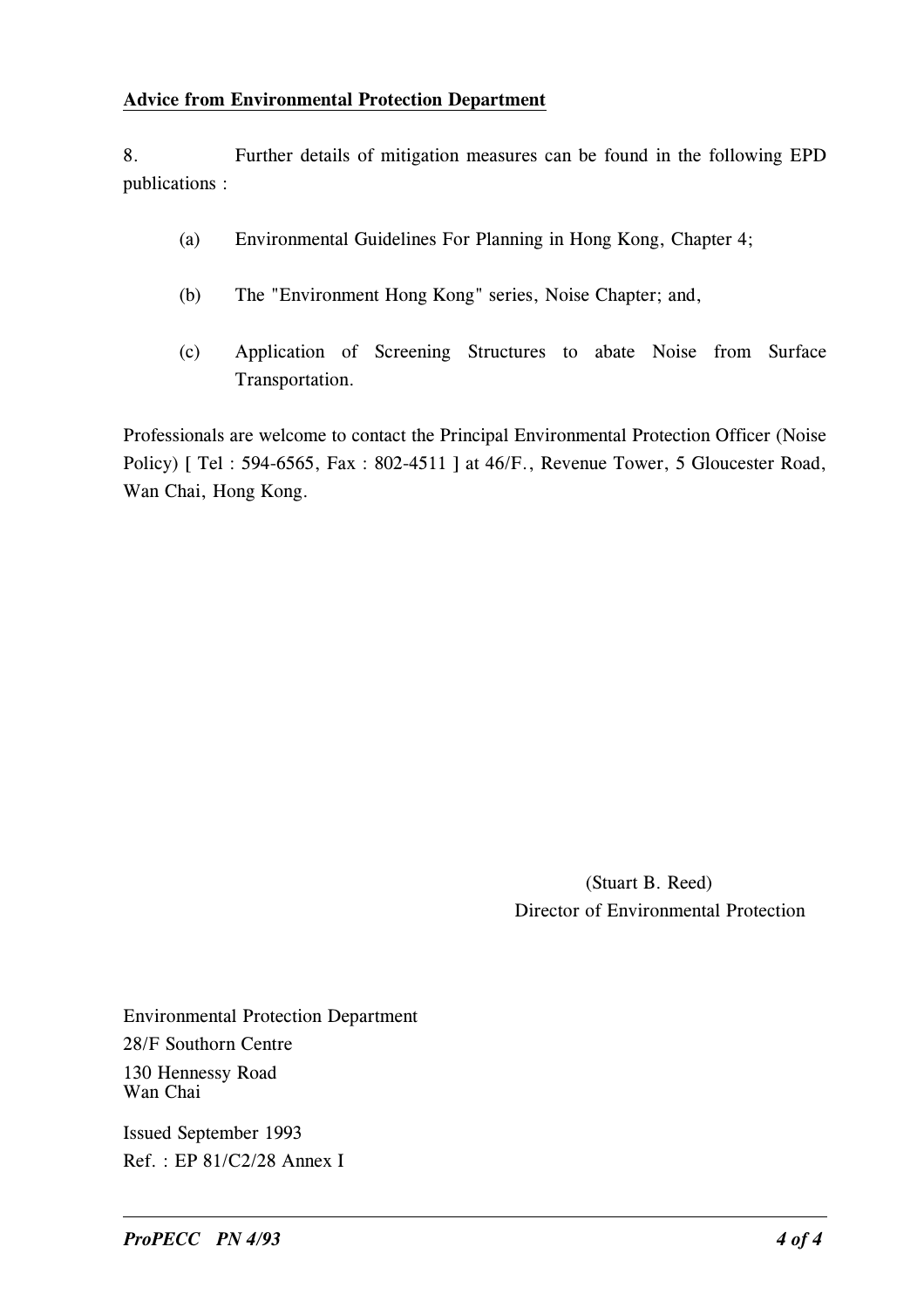#### Advice from Environmental Protection Department

8. Further details of mitigation measures can be found in the following EPD publications :

- (a) Environmental Guidelines For Planning in Hong Kong, Chapter 4;
- (b) The "Environment Hong Kong" series, Noise Chapter; and,
- (c) Application of Screening Structures to abate Noise from Surface Transportation.

Professionals are welcome to contact the Principal Environmental Protection Officer (Noise Policy) [ Tel : 594-6565, Fax : 802-4511 ] at 46/F., Revenue Tower, 5 Gloucester Road, Wan Chai, Hong Kong.

> (Stuart B. Reed) Director of Environmental Protection

Environmental Protection Department 28/F Southorn Centre 130 Hennessy Road Wan Chai

Issued September 1993 Ref. : EP 81/C2/28 Annex I